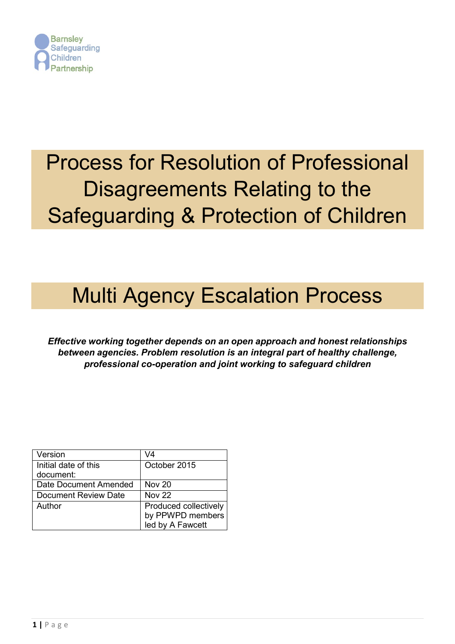

# Process for Resolution of Professional Disagreements Relating to the Safeguarding & Protection of Children

## Multi Agency Escalation Process

*Effective working together depends on an open approach and honest relationships between agencies. Problem resolution is an integral part of healthy challenge, professional co-operation and joint working to safeguard children*

| Version               | V4                    |
|-----------------------|-----------------------|
| Initial date of this  | October 2015          |
| document:             |                       |
| Date Document Amended | Nov <sub>20</sub>     |
| Document Review Date  | <b>Nov 22</b>         |
| Author                | Produced collectively |
|                       | by PPWPD members      |
|                       | led by A Fawcett      |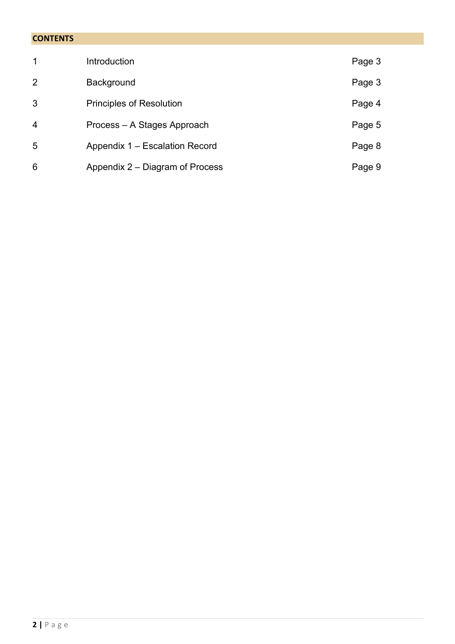## **CONTENTS**

| $\mathbf{1}$   | Introduction                    | Page 3 |
|----------------|---------------------------------|--------|
| $\overline{2}$ | <b>Background</b>               | Page 3 |
| 3              | <b>Principles of Resolution</b> | Page 4 |
| $\overline{4}$ | Process – A Stages Approach     | Page 5 |
| 5              | Appendix 1 – Escalation Record  | Page 8 |
| 6              | Appendix 2 – Diagram of Process | Page 9 |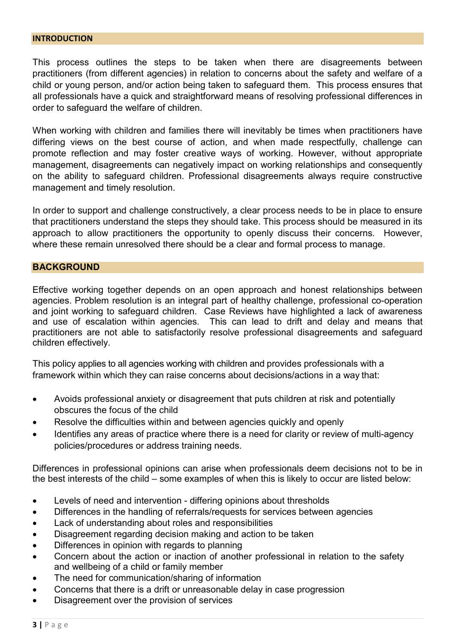#### **INTRODUCTION**

This process outlines the steps to be taken when there are disagreements between practitioners (from different agencies) in relation to concerns about the safety and welfare of a child or young person, and/or action being taken to safeguard them. This process ensures that all professionals have a quick and straightforward means of resolving professional differences in order to safeguard the welfare of children.

When working with children and families there will inevitably be times when practitioners have differing views on the best course of action, and when made respectfully, challenge can promote reflection and may foster creative ways of working. However, without appropriate management, disagreements can negatively impact on working relationships and consequently on the ability to safeguard children. Professional disagreements always require constructive management and timely resolution.

In order to support and challenge constructively, a clear process needs to be in place to ensure that practitioners understand the steps they should take. This process should be measured in its approach to allow practitioners the opportunity to openly discuss their concerns. However, where these remain unresolved there should be a clear and formal process to manage.

#### **BACKGROUND**

Effective working together depends on an open approach and honest relationships between agencies. Problem resolution is an integral part of healthy challenge, professional co-operation and joint working to safeguard children. Case Reviews have highlighted a lack of awareness and use of escalation within agencies. This can lead to drift and delay and means that practitioners are not able to satisfactorily resolve professional disagreements and safeguard children effectively.

This policy applies to all agencies working with children and provides professionals with a framework within which they can raise concerns about decisions/actions in a way that:

- Avoids professional anxiety or disagreement that puts children at risk and potentially obscures the focus of the child
- Resolve the difficulties within and between agencies quickly and openly
- Identifies any areas of practice where there is a need for clarity or review of multi-agency policies/procedures or address training needs.

Differences in professional opinions can arise when professionals deem decisions not to be in the best interests of the child – some examples of when this is likely to occur are listed below:

- Levels of need and intervention differing opinions about thresholds
- Differences in the handling of referrals/requests for services between agencies
- Lack of understanding about roles and responsibilities
- Disagreement regarding decision making and action to be taken
- Differences in opinion with regards to planning
- Concern about the action or inaction of another professional in relation to the safety and wellbeing of a child or family member
- The need for communication/sharing of information
- Concerns that there is a drift or unreasonable delay in case progression
- Disagreement over the provision of services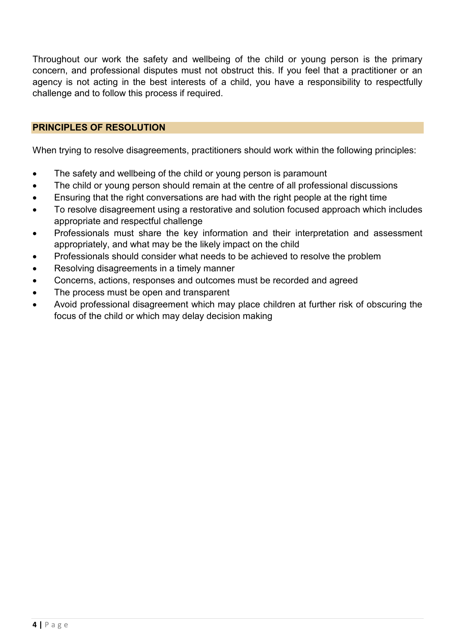Throughout our work the safety and wellbeing of the child or young person is the primary concern, and professional disputes must not obstruct this. If you feel that a practitioner or an agency is not acting in the best interests of a child, you have a responsibility to respectfully challenge and to follow this process if required.

## **PRINCIPLES OF RESOLUTION**

When trying to resolve disagreements, practitioners should work within the following principles:

- The safety and wellbeing of the child or young person is paramount
- The child or young person should remain at the centre of all professional discussions
- Ensuring that the right conversations are had with the right people at the right time
- To resolve disagreement using a restorative and solution focused approach which includes appropriate and respectful challenge
- Professionals must share the key information and their interpretation and assessment appropriately, and what may be the likely impact on the child
- Professionals should consider what needs to be achieved to resolve the problem
- Resolving disagreements in a timely manner
- Concerns, actions, responses and outcomes must be recorded and agreed
- The process must be open and transparent
- Avoid professional disagreement which may place children at further risk of obscuring the focus of the child or which may delay decision making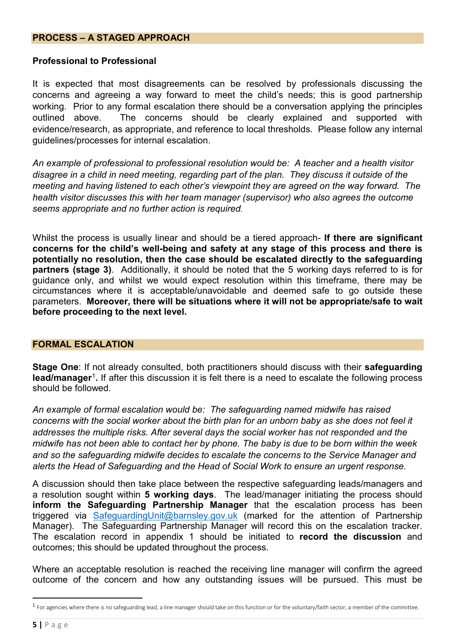#### **PROCESS – A STAGED APPROACH**

#### **Professional to Professional**

It is expected that most disagreements can be resolved by professionals discussing the concerns and agreeing a way forward to meet the child's needs; this is good partnership working. Prior to any formal escalation there should be a conversation applying the principles outlined above. The concerns should be clearly explained and supported with evidence/research, as appropriate, and reference to local thresholds. Please follow any internal guidelines/processes for internal escalation.

*An example of professional to professional resolution would be: A teacher and a health visitor disagree in a child in need meeting, regarding part of the plan. They discuss it outside of the meeting and having listened to each other's viewpoint they are agreed on the way forward. The health visitor discusses this with her team manager (supervisor) who also agrees the outcome seems appropriate and no further action is required.*

Whilst the process is usually linear and should be a tiered approach- **If there are significant concerns for the child's well-being and safety at any stage of this process and there is potentially no resolution, then the case should be escalated directly to the safeguarding partners (stage 3)**. Additionally, it should be noted that the 5 working days referred to is for guidance only, and whilst we would expect resolution within this timeframe, there may be circumstances where it is acceptable/unavoidable and deemed safe to go outside these parameters. **Moreover, there will be situations where it will not be appropriate/safe to wait before proceeding to the next level.**

#### **FORMAL ESCALATION**

**Stage One**: If not already consulted, both practitioners should discuss with their **safeguarding lead/manager**[1](#page-4-0)**.** If after this discussion it is felt there is a need to escalate the following process should be followed.

*An example of formal escalation would be: The safeguarding named midwife has raised concerns with the social worker about the birth plan for an unborn baby as she does not feel it addresses the multiple risks. After several days the social worker has not responded and the midwife has not been able to contact her by phone. The baby is due to be born within the week and so the safeguarding midwife decides to escalate the concerns to the Service Manager and alerts the Head of Safeguarding and the Head of Social Work to ensure an urgent response.* 

A discussion should then take place between the respective safeguarding leads/managers and a resolution sought within **5 working days**. The lead/manager initiating the process should **inform the Safeguarding Partnership Manager** that the escalation process has been triggered via [SafeguardingUnit@barnsley.gov.uk](mailto:SafeguardingUnit@barnsley.gov.uk) (marked for the attention of Partnership Manager). The Safeguarding Partnership Manager will record this on the escalation tracker. The escalation record in appendix 1 should be initiated to **record the discussion** and outcomes; this should be updated throughout the process.

Where an acceptable resolution is reached the receiving line manager will confirm the agreed outcome of the concern and how any outstanding issues will be pursued. This must be

<span id="page-4-0"></span><sup>&</sup>lt;sup>1</sup> For agencies where there is no safeguarding lead, a line manager should take on this function or for the voluntary/faith sector, a member of the committee.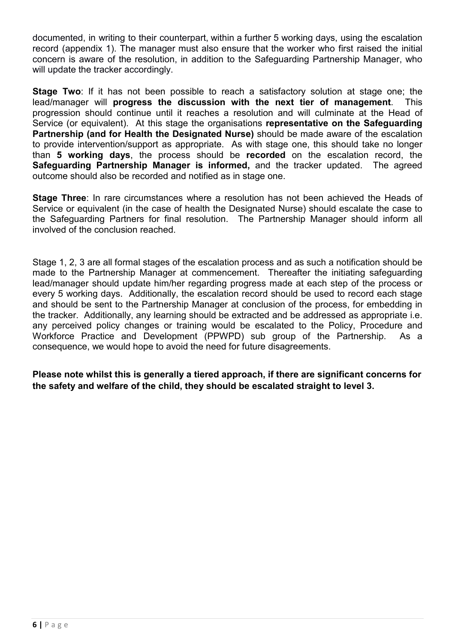documented, in writing to their counterpart, within a further 5 working days, using the escalation record (appendix 1). The manager must also ensure that the worker who first raised the initial concern is aware of the resolution, in addition to the Safeguarding Partnership Manager, who will update the tracker accordingly.

**Stage Two**: If it has not been possible to reach a satisfactory solution at stage one; the lead/manager will **progress the discussion with the next tier of management**. This progression should continue until it reaches a resolution and will culminate at the Head of Service (or equivalent). At this stage the organisations **representative on the Safeguarding Partnership (and for Health the Designated Nurse)** should be made aware of the escalation to provide intervention/support as appropriate. As with stage one, this should take no longer than **5 working days**, the process should be **recorded** on the escalation record, the **Safeguarding Partnership Manager is informed,** and the tracker updated. The agreed outcome should also be recorded and notified as in stage one.

**Stage Three**: In rare circumstances where a resolution has not been achieved the Heads of Service or equivalent (in the case of health the Designated Nurse) should escalate the case to the Safeguarding Partners for final resolution. The Partnership Manager should inform all involved of the conclusion reached.

Stage 1, 2, 3 are all formal stages of the escalation process and as such a notification should be made to the Partnership Manager at commencement. Thereafter the initiating safeguarding lead/manager should update him/her regarding progress made at each step of the process or every 5 working days. Additionally, the escalation record should be used to record each stage and should be sent to the Partnership Manager at conclusion of the process, for embedding in the tracker. Additionally, any learning should be extracted and be addressed as appropriate i.e. any perceived policy changes or training would be escalated to the Policy, Procedure and Workforce Practice and Development (PPWPD) sub group of the Partnership. As a consequence, we would hope to avoid the need for future disagreements.

**Please note whilst this is generally a tiered approach, if there are significant concerns for the safety and welfare of the child, they should be escalated straight to level 3.**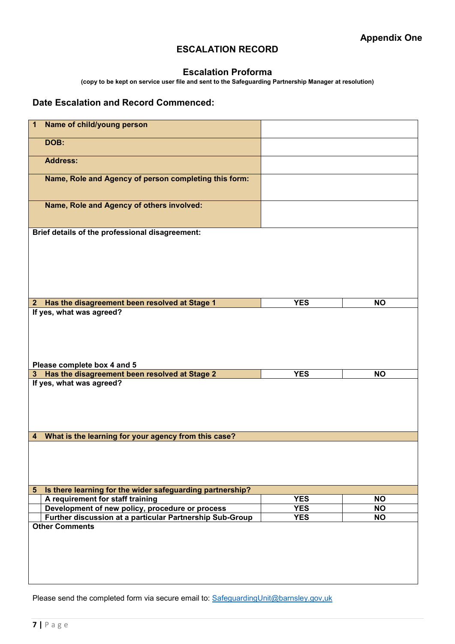## **ESCALATION RECORD**

#### **Escalation Proforma**

**(copy to be kept on service user file and sent to the Safeguarding Partnership Manager at resolution)**

#### **Date Escalation and Record Commenced:**

| Name of child/young person<br>1                                             |            |           |
|-----------------------------------------------------------------------------|------------|-----------|
| DOB:                                                                        |            |           |
| <b>Address:</b>                                                             |            |           |
| Name, Role and Agency of person completing this form:                       |            |           |
| Name, Role and Agency of others involved:                                   |            |           |
| Brief details of the professional disagreement:                             |            |           |
|                                                                             |            |           |
|                                                                             |            |           |
|                                                                             |            |           |
|                                                                             |            |           |
| 2 Has the disagreement been resolved at Stage 1                             | <b>YES</b> | <b>NO</b> |
| If yes, what was agreed?                                                    |            |           |
|                                                                             |            |           |
|                                                                             |            |           |
|                                                                             |            |           |
|                                                                             |            |           |
|                                                                             |            |           |
|                                                                             |            |           |
|                                                                             |            |           |
| Please complete box 4 and 5                                                 |            |           |
| Has the disagreement been resolved at Stage 2<br>3                          | <b>YES</b> | <b>NO</b> |
| If yes, what was agreed?                                                    |            |           |
|                                                                             |            |           |
|                                                                             |            |           |
|                                                                             |            |           |
|                                                                             |            |           |
|                                                                             |            |           |
| What is the learning for your agency from this case?<br>4                   |            |           |
|                                                                             |            |           |
|                                                                             |            |           |
|                                                                             |            |           |
|                                                                             |            |           |
|                                                                             |            |           |
| Is there learning for the wider safeguarding partnership?<br>$5\phantom{1}$ |            |           |
| A requirement for staff training                                            | <b>YES</b> | <b>NO</b> |
| Development of new policy, procedure or process                             | <b>YES</b> | <b>NO</b> |
| Further discussion at a particular Partnership Sub-Group                    | <b>YES</b> | <b>NO</b> |
| <b>Other Comments</b>                                                       |            |           |
|                                                                             |            |           |
|                                                                             |            |           |
|                                                                             |            |           |
|                                                                             |            |           |
|                                                                             |            |           |

Please send the completed form via secure email to: [SafeguardingUnit@barnsley.gov,uk](mailto:SafeguardingUnit@barnsley.gov,uk)